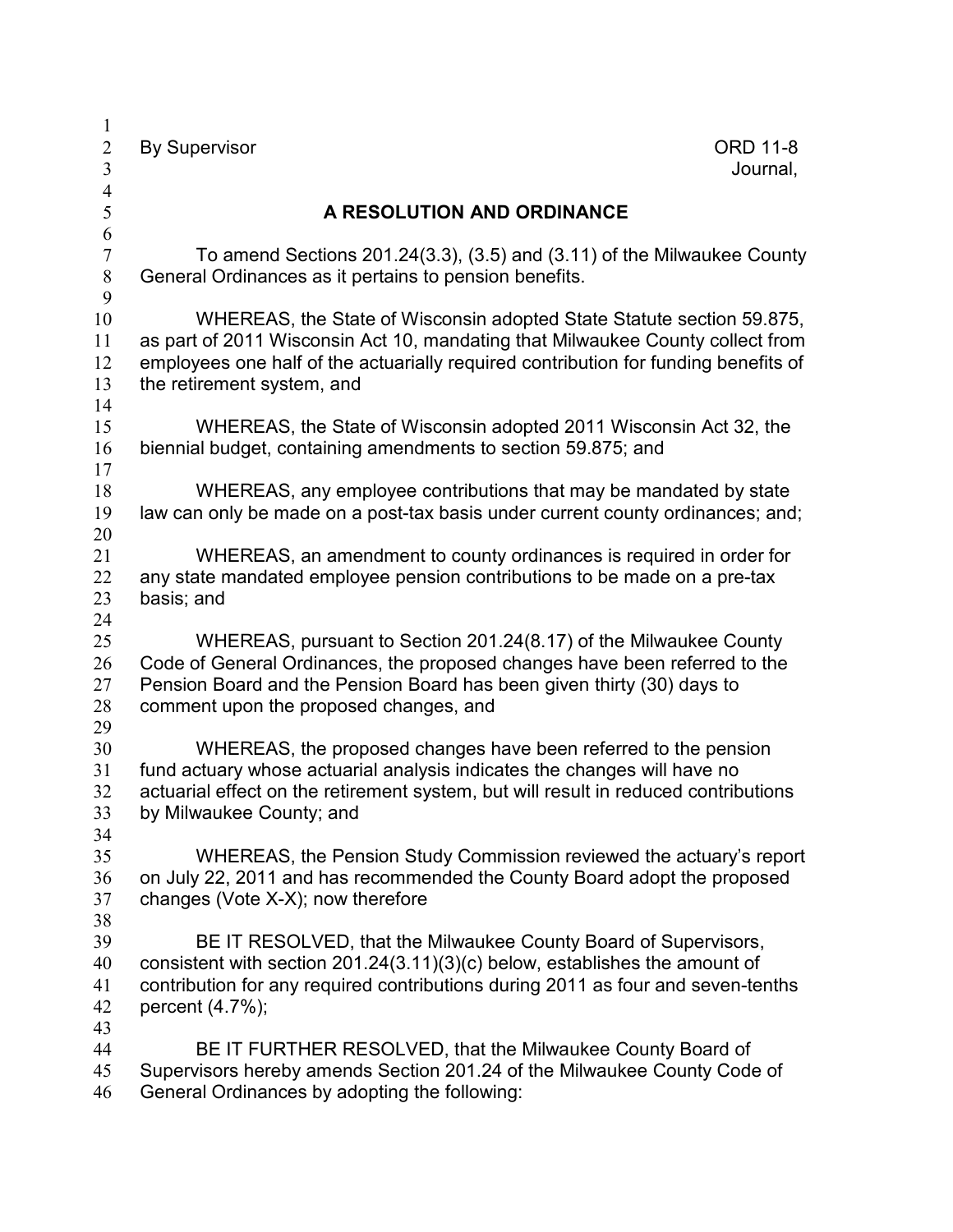By Supervisor ORD 11-8 Journal, **A RESOLUTION AND ORDINANCE**  To amend Sections 201.24(3.3), (3.5) and (3.11) of the Milwaukee County General Ordinances as it pertains to pension benefits. WHEREAS, the State of Wisconsin adopted State Statute section 59.875, as part of 2011 Wisconsin Act 10, mandating that Milwaukee County collect from employees one half of the actuarially required contribution for funding benefits of the retirement system, and WHEREAS, the State of Wisconsin adopted 2011 Wisconsin Act 32, the biennial budget, containing amendments to section 59.875; and WHEREAS, any employee contributions that may be mandated by state law can only be made on a post-tax basis under current county ordinances; and; WHEREAS, an amendment to county ordinances is required in order for any state mandated employee pension contributions to be made on a pre-tax basis; and WHEREAS, pursuant to Section 201.24(8.17) of the Milwaukee County Code of General Ordinances, the proposed changes have been referred to the Pension Board and the Pension Board has been given thirty (30) days to comment upon the proposed changes, and WHEREAS, the proposed changes have been referred to the pension fund actuary whose actuarial analysis indicates the changes will have no actuarial effect on the retirement system, but will result in reduced contributions by Milwaukee County; and WHEREAS, the Pension Study Commission reviewed the actuary's report on July 22, 2011 and has recommended the County Board adopt the proposed changes (Vote X-X); now therefore BE IT RESOLVED, that the Milwaukee County Board of Supervisors, consistent with section 201.24(3.11)(3)(c) below, establishes the amount of contribution for any required contributions during 2011 as four and seven-tenths percent (4.7%); BE IT FURTHER RESOLVED, that the Milwaukee County Board of Supervisors hereby amends Section 201.24 of the Milwaukee County Code of General Ordinances by adopting the following: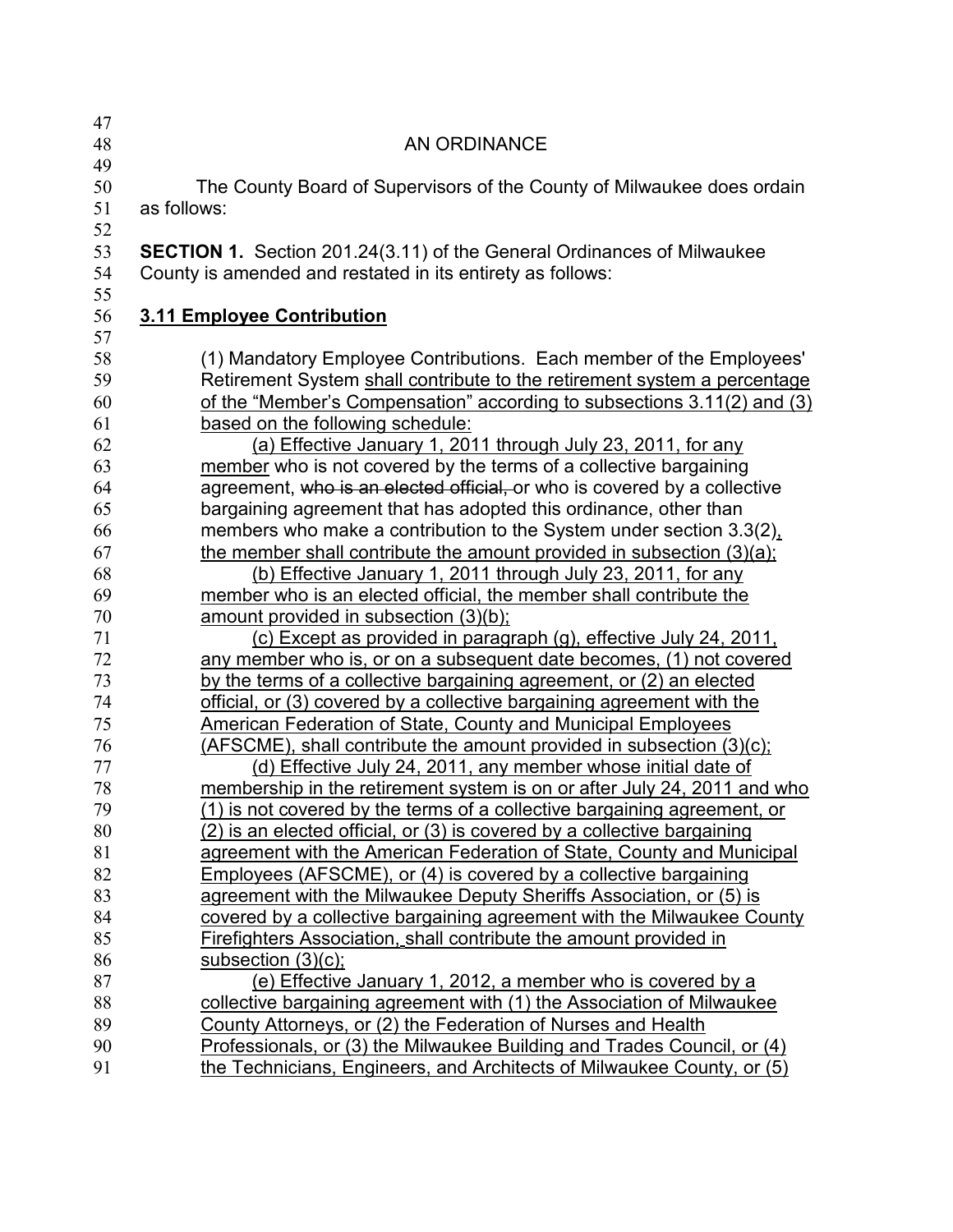| 47 |                                                                               |
|----|-------------------------------------------------------------------------------|
| 48 | <b>AN ORDINANCE</b>                                                           |
| 49 |                                                                               |
| 50 | The County Board of Supervisors of the County of Milwaukee does ordain        |
| 51 | as follows:                                                                   |
| 52 |                                                                               |
| 53 | <b>SECTION 1.</b> Section 201.24(3.11) of the General Ordinances of Milwaukee |
| 54 | County is amended and restated in its entirety as follows:                    |
| 55 |                                                                               |
| 56 | 3.11 Employee Contribution                                                    |
| 57 |                                                                               |
| 58 | (1) Mandatory Employee Contributions. Each member of the Employees'           |
| 59 | Retirement System shall contribute to the retirement system a percentage      |
| 60 | of the "Member's Compensation" according to subsections 3.11(2) and (3)       |
| 61 | based on the following schedule:                                              |
| 62 | (a) Effective January 1, 2011 through July 23, 2011, for any                  |
| 63 | member who is not covered by the terms of a collective bargaining             |
| 64 | agreement, who is an elected official, or who is covered by a collective      |
| 65 | bargaining agreement that has adopted this ordinance, other than              |
| 66 | members who make a contribution to the System under section 3.3(2),           |
| 67 | the member shall contribute the amount provided in subsection (3)(a);         |
| 68 | (b) Effective January 1, 2011 through July 23, 2011, for any                  |
| 69 | member who is an elected official, the member shall contribute the            |
| 70 | amount provided in subsection (3)(b);                                         |
| 71 | (c) Except as provided in paragraph (g), effective July 24, 2011.             |
| 72 | any member who is, or on a subsequent date becomes, (1) not covered           |
| 73 | by the terms of a collective bargaining agreement, or (2) an elected          |
| 74 | official, or (3) covered by a collective bargaining agreement with the        |
| 75 | <b>American Federation of State, County and Municipal Employees</b>           |
| 76 | (AFSCME), shall contribute the amount provided in subsection (3)(c);          |
| 77 | (d) Effective July 24, 2011, any member whose initial date of                 |
| 78 | membership in the retirement system is on or after July 24, 2011 and who      |
| 79 | (1) is not covered by the terms of a collective bargaining agreement, or      |
| 80 | (2) is an elected official, or (3) is covered by a collective bargaining      |
| 81 | agreement with the American Federation of State, County and Municipal         |
| 82 | Employees (AFSCME), or (4) is covered by a collective bargaining              |
| 83 | agreement with the Milwaukee Deputy Sheriffs Association, or (5) is           |
| 84 | covered by a collective bargaining agreement with the Milwaukee County        |
| 85 | Firefighters Association, shall contribute the amount provided in             |
| 86 | subsection $(3)(c)$ ;                                                         |
| 87 | (e) Effective January 1, 2012, a member who is covered by a                   |
| 88 | collective bargaining agreement with (1) the Association of Milwaukee         |
| 89 | County Attorneys, or (2) the Federation of Nurses and Health                  |
| 90 | Professionals, or (3) the Milwaukee Building and Trades Council, or (4)       |
| 91 | the Technicians, Engineers, and Architects of Milwaukee County, or (5)        |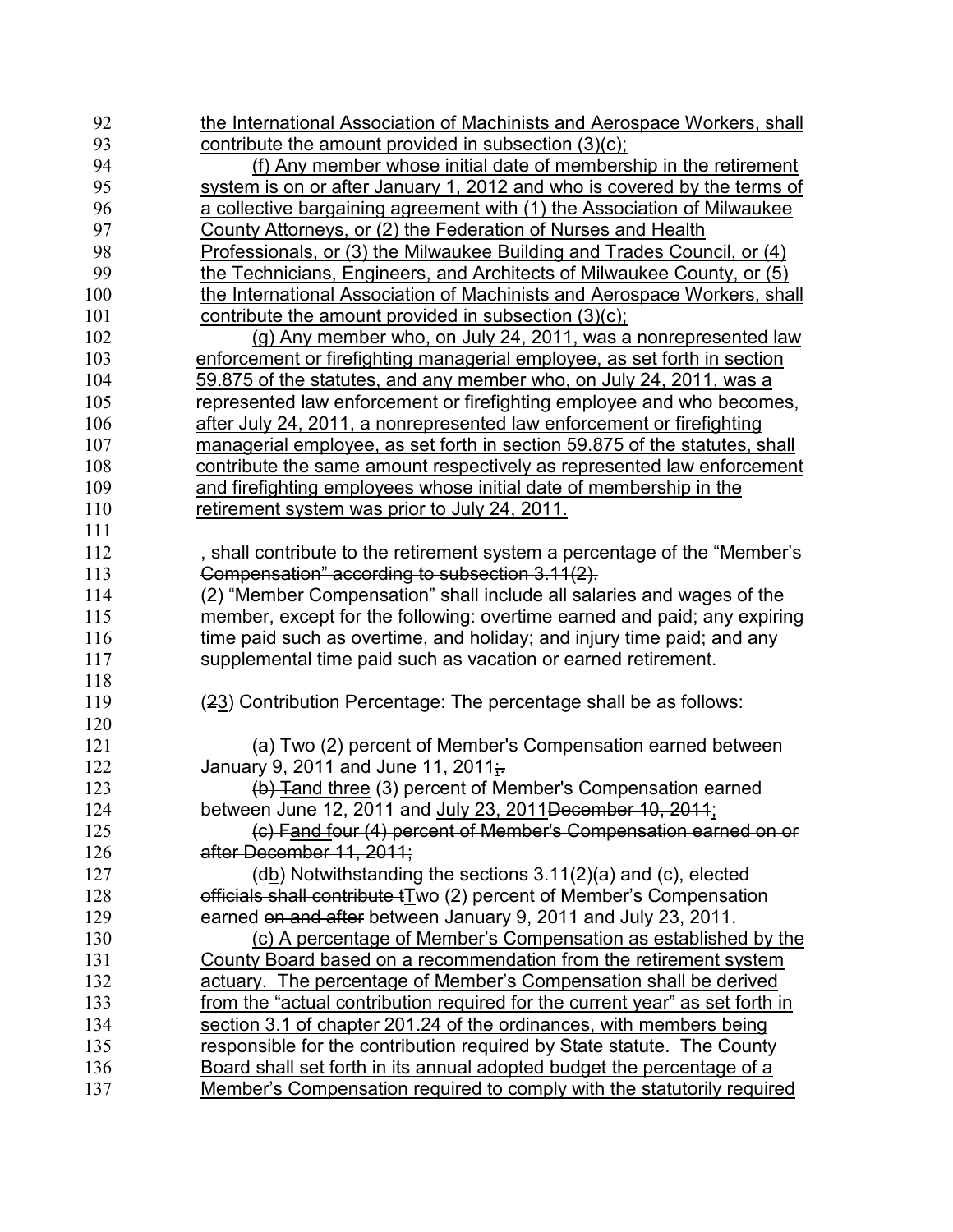| 92  | the International Association of Machinists and Aerospace Workers, shall     |
|-----|------------------------------------------------------------------------------|
| 93  | contribute the amount provided in subsection (3)(c).                         |
| 94  | (f) Any member whose initial date of membership in the retirement            |
| 95  | system is on or after January 1, 2012 and who is covered by the terms of     |
| 96  | a collective bargaining agreement with (1) the Association of Milwaukee      |
| 97  | County Attorneys, or (2) the Federation of Nurses and Health                 |
| 98  | Professionals, or (3) the Milwaukee Building and Trades Council, or (4)      |
| 99  | the Technicians, Engineers, and Architects of Milwaukee County, or (5)       |
| 100 | the International Association of Machinists and Aerospace Workers, shall     |
| 101 | contribute the amount provided in subsection (3)(c);                         |
| 102 | (g) Any member who, on July 24, 2011, was a nonrepresented law               |
| 103 | enforcement or firefighting managerial employee, as set forth in section     |
| 104 | 59.875 of the statutes, and any member who, on July 24, 2011, was a          |
| 105 | represented law enforcement or firefighting employee and who becomes.        |
| 106 | after July 24, 2011, a nonrepresented law enforcement or firefighting        |
| 107 | managerial employee, as set forth in section 59.875 of the statutes, shall   |
| 108 | contribute the same amount respectively as represented law enforcement       |
| 109 | and firefighting employees whose initial date of membership in the           |
| 110 | retirement system was prior to July 24, 2011.                                |
| 111 |                                                                              |
| 112 | , shall contribute to the retirement system a percentage of the "Member's    |
| 113 | Compensation" according to subsection 3.11(2).                               |
| 114 | (2) "Member Compensation" shall include all salaries and wages of the        |
| 115 | member, except for the following: overtime earned and paid; any expiring     |
| 116 | time paid such as overtime, and holiday; and injury time paid; and any       |
| 117 | supplemental time paid such as vacation or earned retirement.                |
| 118 |                                                                              |
| 119 | (23) Contribution Percentage: The percentage shall be as follows:            |
| 120 |                                                                              |
| 121 | (a) Two (2) percent of Member's Compensation earned between                  |
| 122 | January 9, 2011 and June 11, 2011 $\frac{1}{11}$                             |
| 123 | (b) Tand three (3) percent of Member's Compensation earned                   |
| 124 | between June 12, 2011 and July 23, 2011 December 10, 2011;                   |
| 125 | (c) Fand four (4) percent of Member's Compensation earned on or              |
| 126 | after December 11, 2011;                                                     |
| 127 | (db) Notwithstanding the sections 3.11(2)(a) and (c), elected                |
| 128 | officials shall contribute tTwo (2) percent of Member's Compensation         |
| 129 | earned on and after between January 9, 2011 and July 23, 2011.               |
| 130 | (c) A percentage of Member's Compensation as established by the              |
| 131 | County Board based on a recommendation from the retirement system            |
| 132 | actuary. The percentage of Member's Compensation shall be derived            |
| 133 | from the "actual contribution required for the current year" as set forth in |
| 134 | section 3.1 of chapter 201.24 of the ordinances, with members being          |
| 135 | responsible for the contribution required by State statute. The County       |
| 136 | Board shall set forth in its annual adopted budget the percentage of a       |
| 137 | Member's Compensation required to comply with the statutorily required       |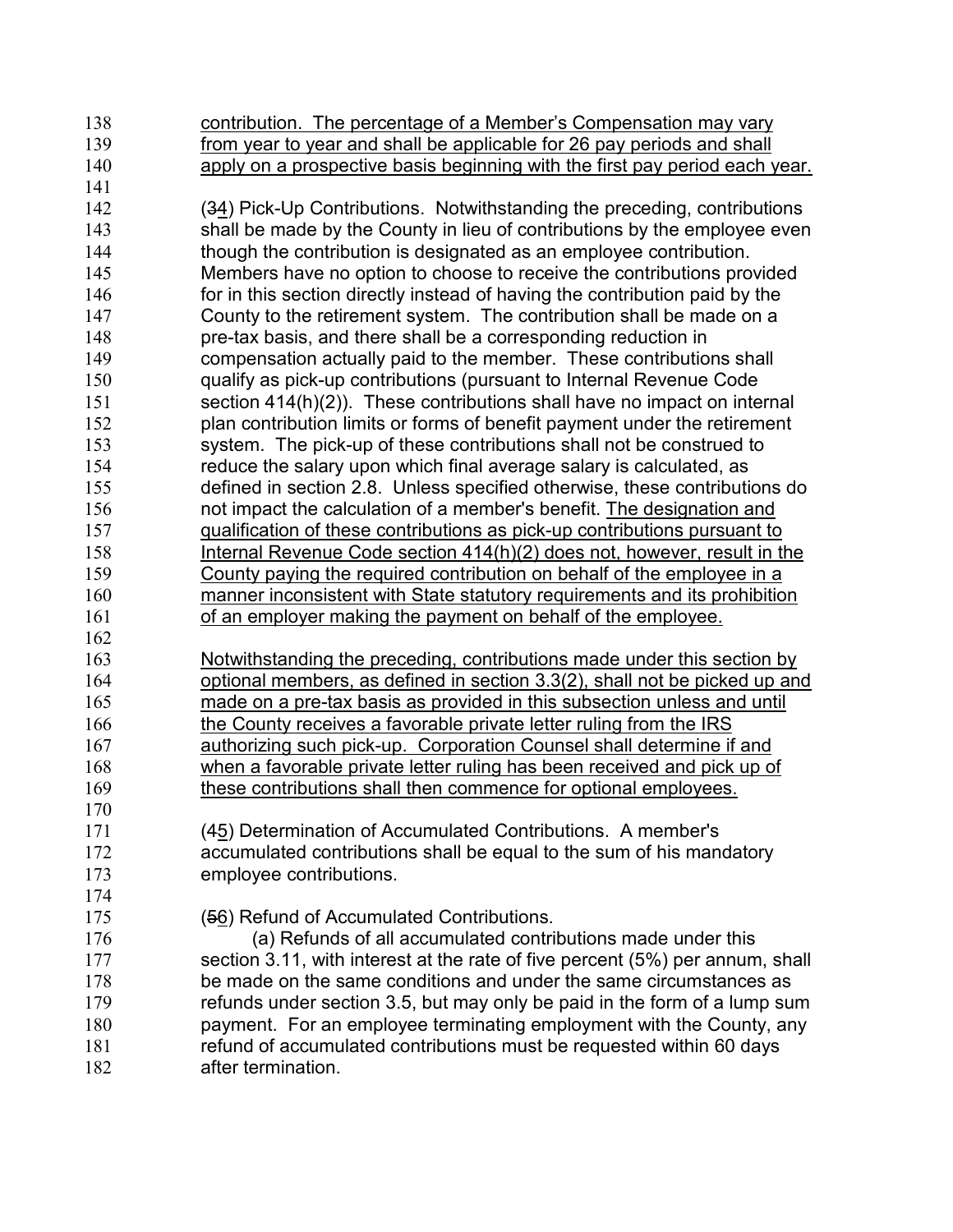contribution. The percentage of a Member's Compensation may vary from year to year and shall be applicable for 26 pay periods and shall apply on a prospective basis beginning with the first pay period each year. (34) Pick-Up Contributions. Notwithstanding the preceding, contributions shall be made by the County in lieu of contributions by the employee even though the contribution is designated as an employee contribution. Members have no option to choose to receive the contributions provided for in this section directly instead of having the contribution paid by the County to the retirement system. The contribution shall be made on a pre-tax basis, and there shall be a corresponding reduction in compensation actually paid to the member. These contributions shall qualify as pick-up contributions (pursuant to Internal Revenue Code 151 section 414(h)(2)). These contributions shall have no impact on internal plan contribution limits or forms of benefit payment under the retirement system. The pick-up of these contributions shall not be construed to reduce the salary upon which final average salary is calculated, as defined in section 2.8. Unless specified otherwise, these contributions do not impact the calculation of a member's benefit. The designation and qualification of these contributions as pick-up contributions pursuant to Internal Revenue Code section 414(h)(2) does not, however, result in the County paying the required contribution on behalf of the employee in a manner inconsistent with State statutory requirements and its prohibition of an employer making the payment on behalf of the employee. Notwithstanding the preceding, contributions made under this section by optional members, as defined in section 3.3(2), shall not be picked up and made on a pre-tax basis as provided in this subsection unless and until 166 the County receives a favorable private letter ruling from the IRS authorizing such pick-up. Corporation Counsel shall determine if and when a favorable private letter ruling has been received and pick up of 169 these contributions shall then commence for optional employees. (45) Determination of Accumulated Contributions. A member's accumulated contributions shall be equal to the sum of his mandatory employee contributions. (56) Refund of Accumulated Contributions. (a) Refunds of all accumulated contributions made under this 177 section 3.11, with interest at the rate of five percent (5%) per annum, shall be made on the same conditions and under the same circumstances as refunds under section 3.5, but may only be paid in the form of a lump sum payment. For an employee terminating employment with the County, any refund of accumulated contributions must be requested within 60 days **after termination.**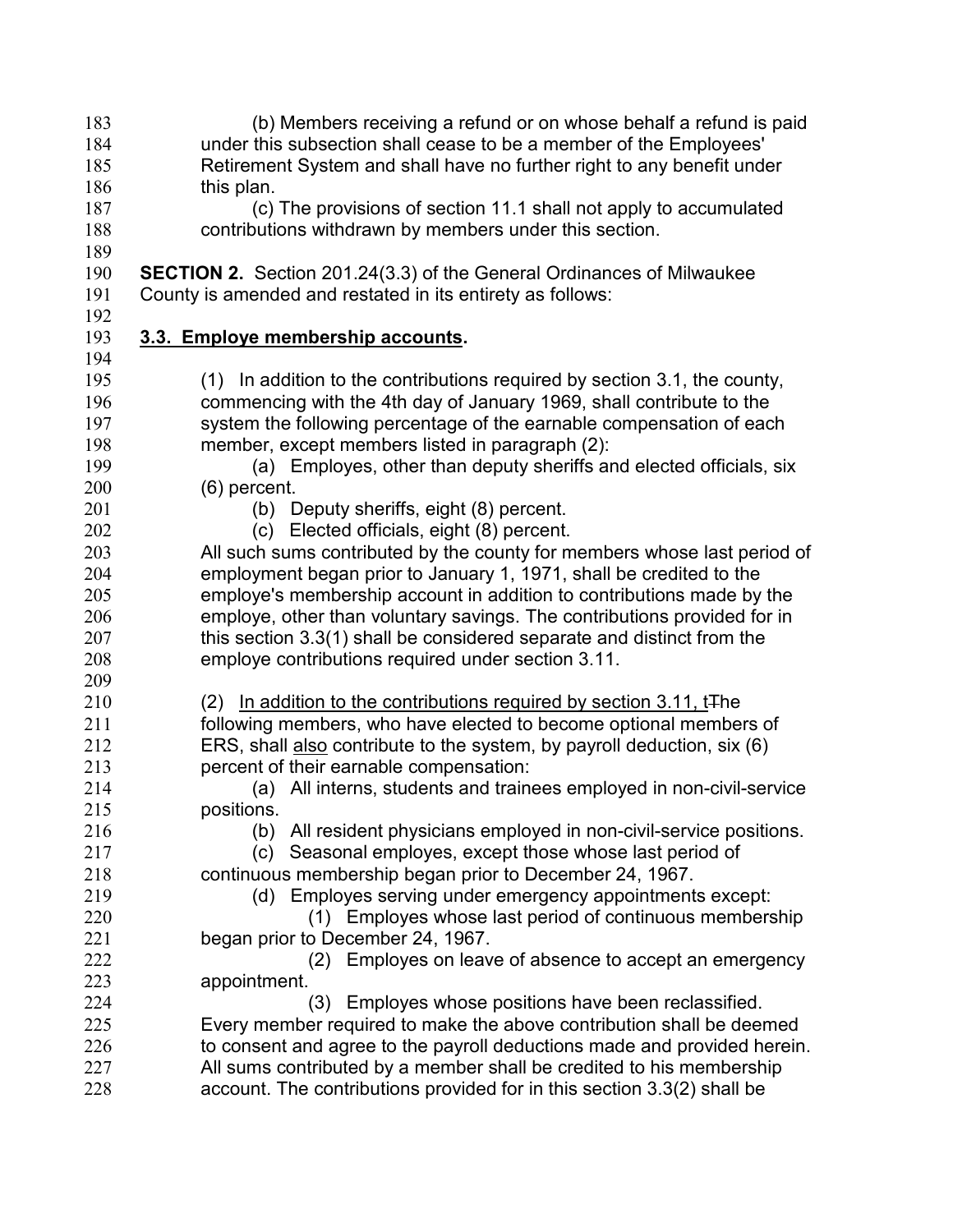(b) Members receiving a refund or on whose behalf a refund is paid under this subsection shall cease to be a member of the Employees' Retirement System and shall have no further right to any benefit under 186 this plan. (c) The provisions of section 11.1 shall not apply to accumulated contributions withdrawn by members under this section. **SECTION 2.** Section 201.24(3.3) of the General Ordinances of Milwaukee County is amended and restated in its entirety as follows: **3.3. Employe membership accounts.**  (1) In addition to the contributions required by section 3.1, the county, commencing with the 4th day of January 1969, shall contribute to the system the following percentage of the earnable compensation of each member, except members listed in paragraph (2): (a) Employes, other than deputy sheriffs and elected officials, six (6) percent. (b) Deputy sheriffs, eight (8) percent. (c) Elected officials, eight (8) percent. All such sums contributed by the county for members whose last period of employment began prior to January 1, 1971, shall be credited to the employe's membership account in addition to contributions made by the employe, other than voluntary savings. The contributions provided for in 207 this section 3.3(1) shall be considered separate and distinct from the employe contributions required under section 3.11. 210 (2) In addition to the contributions required by section 3.11, t<sub>The</sub> following members, who have elected to become optional members of ERS, shall also contribute to the system, by payroll deduction, six (6) percent of their earnable compensation: (a) All interns, students and trainees employed in non-civil-service positions. (b) All resident physicians employed in non-civil-service positions. (c) Seasonal employes, except those whose last period of continuous membership began prior to December 24, 1967. (d) Employes serving under emergency appointments except: (1) Employes whose last period of continuous membership began prior to December 24, 1967. (2) Employes on leave of absence to accept an emergency appointment. (3) Employes whose positions have been reclassified. Every member required to make the above contribution shall be deemed 226 to consent and agree to the payroll deductions made and provided herein. All sums contributed by a member shall be credited to his membership account. The contributions provided for in this section 3.3(2) shall be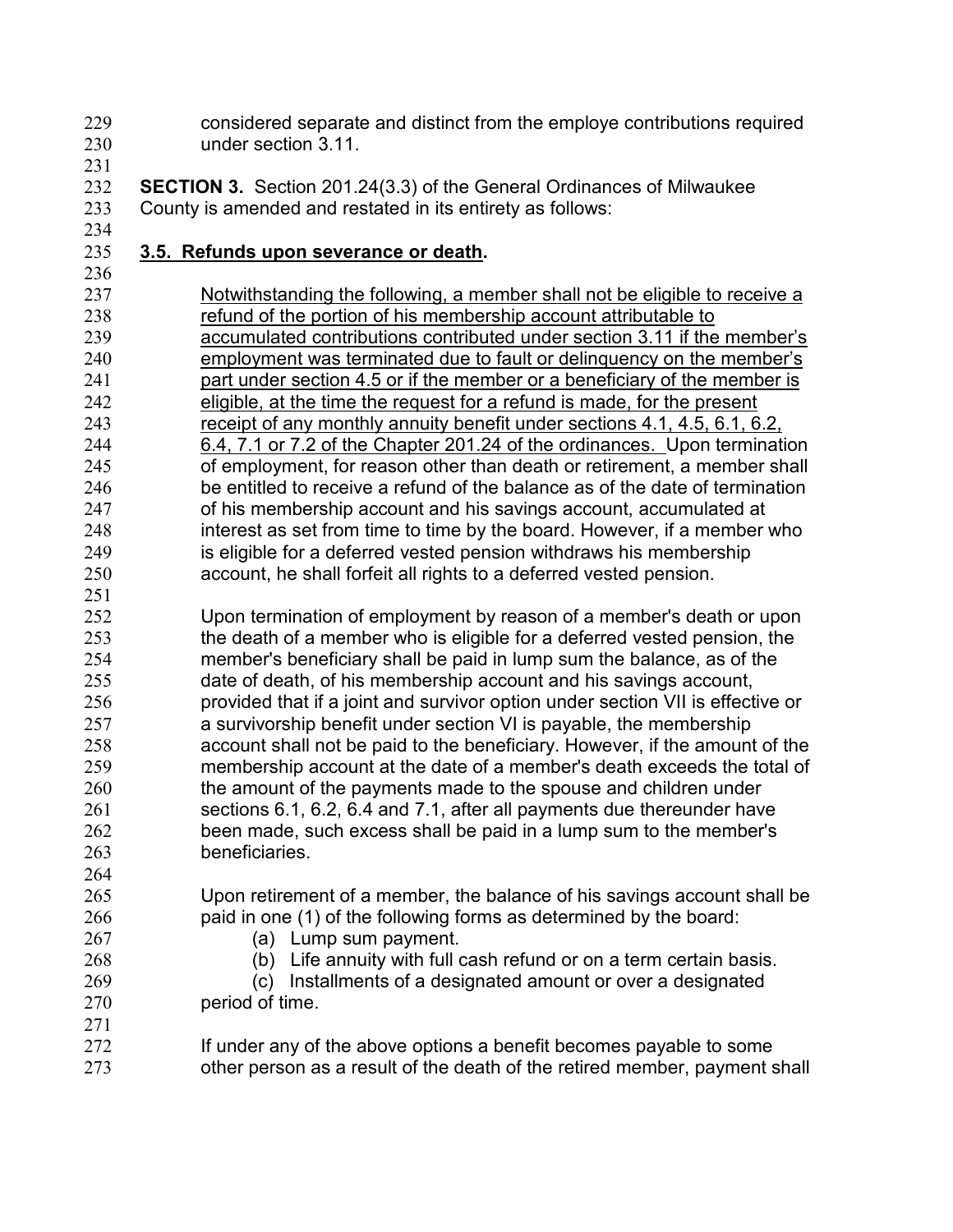- considered separate and distinct from the employe contributions required under section 3.11.
- 

**SECTION 3.** Section 201.24(3.3) of the General Ordinances of Milwaukee County is amended and restated in its entirety as follows:

## **3.5. Refunds upon severance or death.**

Notwithstanding the following, a member shall not be eligible to receive a refund of the portion of his membership account attributable to accumulated contributions contributed under section 3.11 if the member's employment was terminated due to fault or delinquency on the member's part under section 4.5 or if the member or a beneficiary of the member is eligible, at the time the request for a refund is made, for the present receipt of any monthly annuity benefit under sections 4.1, 4.5, 6.1, 6.2, 6.4, 7.1 or 7.2 of the Chapter 201.24 of the ordinances. Upon termination of employment, for reason other than death or retirement, a member shall be entitled to receive a refund of the balance as of the date of termination of his membership account and his savings account, accumulated at interest as set from time to time by the board. However, if a member who is eligible for a deferred vested pension withdraws his membership account, he shall forfeit all rights to a deferred vested pension.

 Upon termination of employment by reason of a member's death or upon the death of a member who is eligible for a deferred vested pension, the member's beneficiary shall be paid in lump sum the balance, as of the date of death, of his membership account and his savings account, provided that if a joint and survivor option under section VII is effective or a survivorship benefit under section VI is payable, the membership account shall not be paid to the beneficiary. However, if the amount of the membership account at the date of a member's death exceeds the total of 260 the amount of the payments made to the spouse and children under sections 6.1, 6.2, 6.4 and 7.1, after all payments due thereunder have been made, such excess shall be paid in a lump sum to the member's beneficiaries.

 Upon retirement of a member, the balance of his savings account shall be paid in one (1) of the following forms as determined by the board:

- (a) Lump sum payment.
- (b) Life annuity with full cash refund or on a term certain basis.

(c) Installments of a designated amount or over a designated period of time.

If under any of the above options a benefit becomes payable to some other person as a result of the death of the retired member, payment shall